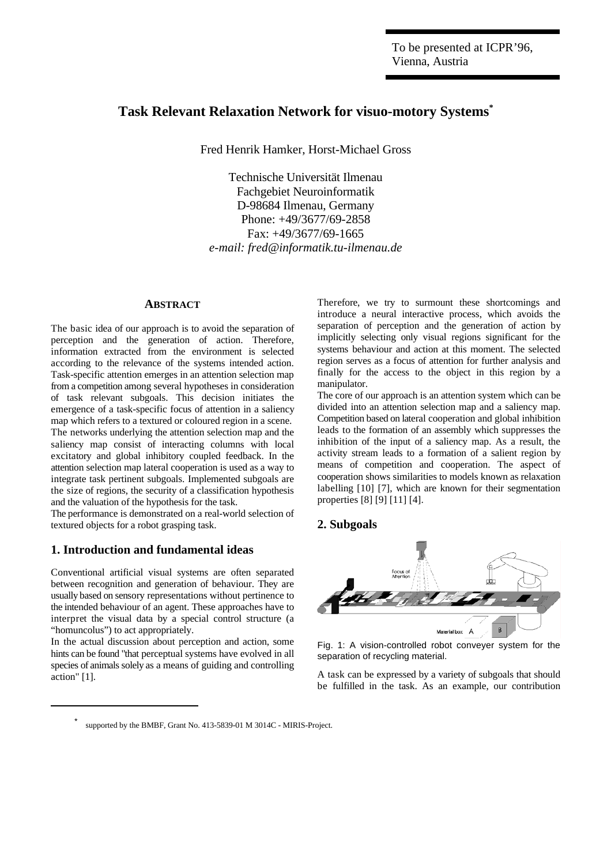# **Task Relevant Relaxation Network for visuo-motory Systems\***

Fred Henrik Hamker, Horst-Michael Gross

Technische Universität Ilmenau Fachgebiet Neuroinformatik D-98684 Ilmenau, Germany Phone: +49/3677/69-2858 Fax: +49/3677/69-1665 *e-mail: fred@informatik.tu-ilmenau.de*

### **ABSTRACT**

The basic idea of our approach is to avoid the separation of perception and the generation of action. Therefore, information extracted from the environment is selected according to the relevance of the systems intended action. Task-specific attention emerges in an attention selection map from a competition among several hypotheses in consideration of task relevant subgoals. This decision initiates the emergence of a task-specific focus of attention in a saliency map which refers to a textured or coloured region in a scene. The networks underlying the attention selection map and the saliency map consist of interacting columns with local excitatory and global inhibitory coupled feedback. In the attention selection map lateral cooperation is used as a way to integrate task pertinent subgoals. Implemented subgoals are the size of regions, the security of a classification hypothesis and the valuation of the hypothesis for the task.

The performance is demonstrated on a real-world selection of textured objects for a robot grasping task.

# **1. Introduction and fundamental ideas**

Conventional artificial visual systems are often separated between recognition and generation of behaviour. They are usually based on sensory representations without pertinence to the intended behaviour of an agent. These approaches have to interpret the visual data by a special control structure (a "homuncolus") to act appropriately.

In the actual discussion about perception and action, some hints can be found "that perceptual systems have evolved in all species of animals solely as a means of guiding and controlling action" [1].

Therefore, we try to surmount these shortcomings and introduce a neural interactive process, which avoids the separation of perception and the generation of action by implicitly selecting only visual regions significant for the systems behaviour and action at this moment. The selected region serves as a focus of attention for further analysis and finally for the access to the object in this region by a manipulator.

The core of our approach is an attention system which can be divided into an attention selection map and a saliency map. Competition based on lateral cooperation and global inhibition leads to the formation of an assembly which suppresses the inhibition of the input of a saliency map. As a result, the activity stream leads to a formation of a salient region by means of competition and cooperation. The aspect of cooperation shows similarities to models known as relaxation labelling [10] [7], which are known for their segmentation properties [8] [9] [11] [4].

## **2. Subgoals**



Fig. 1: A vision-controlled robot conveyer system for the separation of recycling material.

A task can be expressed by a variety of subgoals that should be fulfilled in the task. As an example, our contribution

supported by the BMBF, Grant No. 413-5839-01 M 3014C - MIRIS-Project.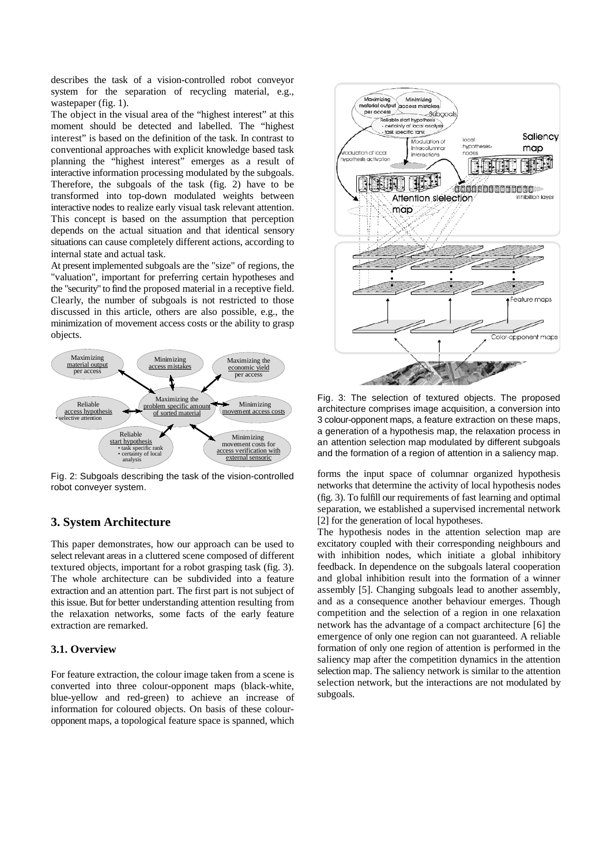describes the task of a vision-controlled robot conveyor system for the separation of recycling material, e.g., wastepaper (fig. 1).

The object in the visual area of the "highest interest" at this moment should be detected and labelled. The "highest interest" is based on the definition of the task. In contrast to conventional approaches with explicit knowledge based task planning the "highest interest" emerges as a result of interactive information processing modulated by the subgoals. Therefore, the subgoals of the task (fig. 2) have to be transformed into top-down modulated weights between interactive nodes to realize early visual task relevant attention. This concept is based on the assumption that perception depends on the actual situation and that identical sensory situations can cause completely different actions, according to internal state and actual task.

At present implemented subgoals are the "size" of regions, the "valuation", important for preferring certain hypotheses and the "security" to find the proposed material in a receptive field. Clearly, the number of subgoals is not restricted to those discussed in this article, others are also possible, e.g., the minimization of movement access costs or the ability to grasp objects.



Fig. 2: Subgoals describing the task of the vision-controlled robot conveyer system.

# **3. System Architecture**

This paper demonstrates, how our approach can be used to select relevant areas in a cluttered scene composed of different textured objects, important for a robot grasping task (fig. 3). The whole architecture can be subdivided into a feature extraction and an attention part. The first part is not subject of this issue. But for better understanding attention resulting from the relaxation networks, some facts of the early feature extraction are remarked.

### **3.1. Overview**

For feature extraction, the colour image taken from a scene is converted into three colour-opponent maps (black-white, blue-yellow and red-green) to achieve an increase of information for coloured objects. On basis of these colouropponent maps, a topological feature space is spanned, which



Fig. 3: The selection of textured objects. The proposed architecture comprises image acquisition, a conversion into 3 colour-opponent maps, a feature extraction on these maps, a generation of a hypothesis map, the relaxation process in an attention selection map modulated by different subgoals and the formation of a region of attention in a saliency map.

forms the input space of columnar organized hypothesis networks that determine the activity of local hypothesis nodes (fig. 3). To fulfill our requirements of fast learning and optimal separation, we established a supervised incremental network [2] for the generation of local hypotheses.

The hypothesis nodes in the attention selection map are excitatory coupled with their corresponding neighbours and with inhibition nodes, which initiate a global inhibitory feedback. In dependence on the subgoals lateral cooperation and global inhibition result into the formation of a winner assembly [5]. Changing subgoals lead to another assembly, and as a consequence another behaviour emerges. Though competition and the selection of a region in one relaxation network has the advantage of a compact architecture [6] the emergence of only one region can not guaranteed. A reliable formation of only one region of attention is performed in the saliency map after the competition dynamics in the attention selection map. The saliency network is similar to the attention selection network, but the interactions are not modulated by subgoals.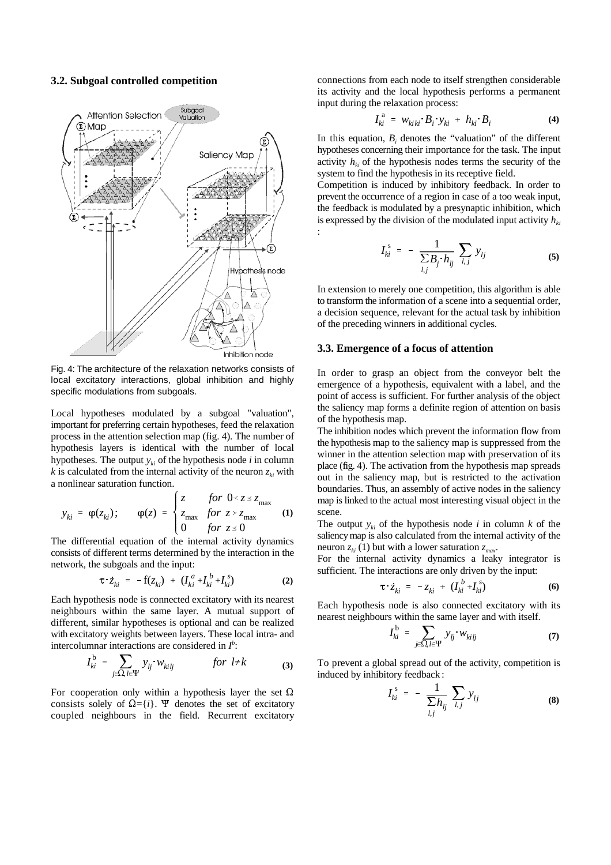#### **3.2. Subgoal controlled competition**



Fig. 4: The architecture of the relaxation networks consists of local excitatory interactions, global inhibition and highly specific modulations from subgoals.

Local hypotheses modulated by a subgoal "valuation", important for preferring certain hypotheses, feed the relaxation process in the attention selection map (fig. 4). The number of hypothesis layers is identical with the number of local hypotheses. The output  $y_{ki}$  of the hypothesis node *i* in column *k* is calculated from the internal activity of the neuron  $z_k$  with a nonlinear saturation function.

$$
y_{ki} = \varphi(z_{ki}); \qquad \varphi(z) = \begin{cases} z & \text{for } 0 < z \le z_{\text{max}} \\ z_{\text{max}} & \text{for } z > z_{\text{max}} \\ 0 & \text{for } z \le 0 \end{cases}
$$
 (1)

d<br>ial<br><sub>z</sub> The differential equation of the internal activity dynamics consists of different terms determined by the interaction in the network, the subgoals and the input:

$$
\tau \cdot \dot{z}_{ki} = -f(z_{ki}) + (I_{ki}^a + I_{ki}^b + I_{ki}^s)
$$
 (2)

Each hypothesis node is connected excitatory with its nearest neighbours within the same layer. A mutual support of different, similar hypotheses is optional and can be realized with excitatory weights between layers. These local intra- and intercolumnar interactions are considered in  $I^b$ :

$$
I_{ki}^b = \sum_{j \in \Omega, l \in \Psi} y_{lj} \cdot w_{kilj} \qquad \text{for } l \neq k \tag{3}
$$

For cooperation only within a hypothesis layer the set  $\Omega$ consists solely of  $\Omega = \{i\}$ .  $\Psi$  denotes the set of excitatory coupled neighbours in the field. Recurrent excitatory connections from each node to itself strengthen considerable its activity and the local hypothesis performs a permanent input during the relaxation process:

$$
I_{ki}^{a} = w_{kiki} B_{i} y_{ki} + h_{ki} B_{i}
$$
 (4)

In this equation,  $B_i$  denotes the "valuation" of the different hypotheses concerning their importance for the task. The input activity  $h_{ki}$  of the hypothesis nodes terms the security of the system to find the hypothesis in its receptive field.

Competition is induced by inhibitory feedback. In order to prevent the occurrence of a region in case of a too weak input, the feedback is modulated by a presynaptic inhibition, which is expressed by the division of the modulated input activity  $h_{ki}$ :

$$
I_{ki}^{s} = -\frac{1}{\sum_{l,j} B_{j} \cdot h_{lj}} \sum_{l,j} y_{lj}
$$
 (5)

In extension to merely one competition, this algorithm is able to transform the information of a scene into a sequential order, a decision sequence, relevant for the actual task by inhibition of the preceding winners in additional cycles.

#### **3.3. Emergence of a focus of attention**

In order to grasp an object from the conveyor belt the emergence of a hypothesis, equivalent with a label, and the point of access is sufficient. For further analysis of the object the saliency map forms a definite region of attention on basis of the hypothesis map.

The inhibition nodes which prevent the information flow from the hypothesis map to the saliency map is suppressed from the winner in the attention selection map with preservation of its place (fig. 4). The activation from the hypothesis map spreads out in the saliency map, but is restricted to the activation boundaries. Thus, an assembly of active nodes in the saliency map is linked to the actual most interesting visual object in the scene.

 $\frac{1}{2}$ <br> $\frac{1}{2}$ <br> $\frac{1}{2}$ The output  $y_{ki}$  of the hypothesis node *i* in column *k* of the saliency map is also calculated from the internal activity of the neuron  $z_{ki}$  (1) but with a lower saturation  $z_{max}$ .

For the internal activity dynamics a leaky integrator is sufficient. The interactions are only driven by the input:

$$
\tau \cdot \dot{z}_{ki} = -z_{ki} + (I_{ki}^{b} + I_{ki}^{s})
$$
 (6)

Each hypothesis node is also connected excitatory with its nearest neighbours within the same layer and with itself.

$$
I_{ki}^{\mathrm{b}} = \sum_{j \in \Omega, l \in \Psi} y_{lj} \cdot w_{kilj} \tag{7}
$$

To prevent a global spread out of the activity, competition is induced by inhibitory feedback :

$$
I_{ki}^{s} = -\frac{1}{\sum_{l,j} h_{lj}} \sum_{l,j} y_{lj}
$$
 (8)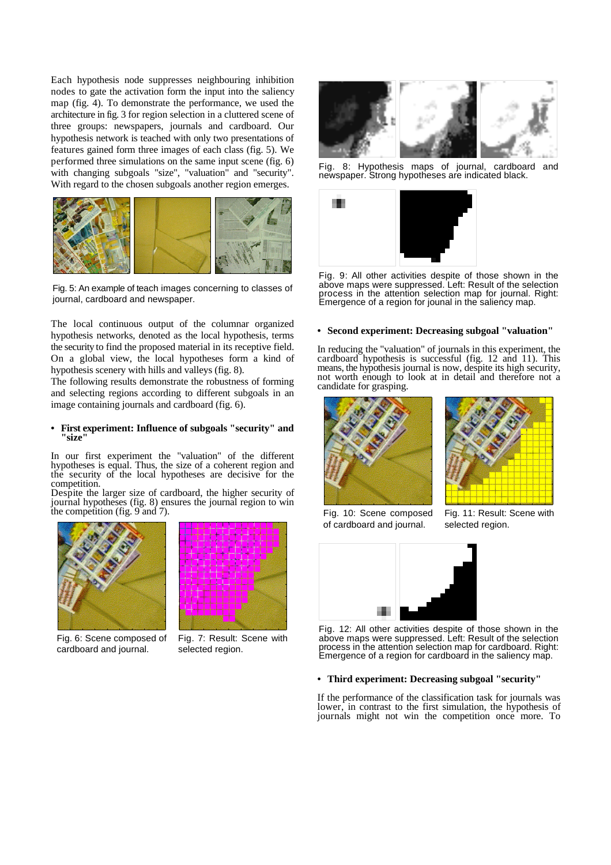Each hypothesis node suppresses neighbouring inhibition nodes to gate the activation form the input into the saliency map (fig. 4). To demonstrate the performance, we used the architecture in fig. 3 for region selection in a cluttered scene of three groups: newspapers, journals and cardboard. Our hypothesis network is teached with only two presentations of features gained form three images of each class (fig. 5). We performed three simulations on the same input scene (fig. 6) with changing subgoals "size", "valuation" and "security". With regard to the chosen subgoals another region emerges.



Fig. 5: An example of teach images concerning to classes of journal, cardboard and newspaper.

The local continuous output of the columnar organized hypothesis networks, denoted as the local hypothesis, terms the security to find the proposed material in its receptive field. On a global view, the local hypotheses form a kind of hypothesis scenery with hills and valleys (fig. 8).

The following results demonstrate the robustness of forming and selecting regions according to different subgoals in an image containing journals and cardboard (fig. 6).

### **• First experiment: Influence of subgoals "security" and "size"**

In our first experiment the "valuation" of the different hypotheses is equal. Thus, the size of a coherent region and the security of the local hypotheses are decisive for the competition.

Despite the larger size of cardboard, the higher security of journal hypotheses (fig. 8) ensures the journal region to win the competition (fig. 9 and 7).





Fig. 6: Scene composed of cardboard and journal.

Fig. 7: Result: Scene with selected region.



Fig. 8: Hypothesis maps of journal, cardboard and newspaper. Strong hypotheses are indicated black.



Fig. 9: All other activities despite of those shown in the above maps were suppressed. Left: Result of the selection process in the attention selection map for journal. Right: Emergence of a region for jounal in the saliency map.

#### **• Second experiment: Decreasing subgoal "valuation"**

In reducing the "valuation" of journals in this experiment, the cardboard hypothesis is successful (fig. 12 and 11). This means, the hypothesis journal is now, despite its high security, not worth enough to look at in detail and therefore not a candidate for grasping.





Fig. 10: Scene composed of cardboard and journal.

Fig. 11: Result: Scene with selected region.



Fig. 12: All other activities despite of those shown in the above maps were suppressed. Left: Result of the selection process in the attention selection map for cardboard. Right: Emergence of a region for cardboard in the saliency map.

#### **• Third experiment: Decreasing subgoal "security"**

If the performance of the classification task for journals was lower, in contrast to the first simulation, the hypothesis of journals might not win the competition once more. To